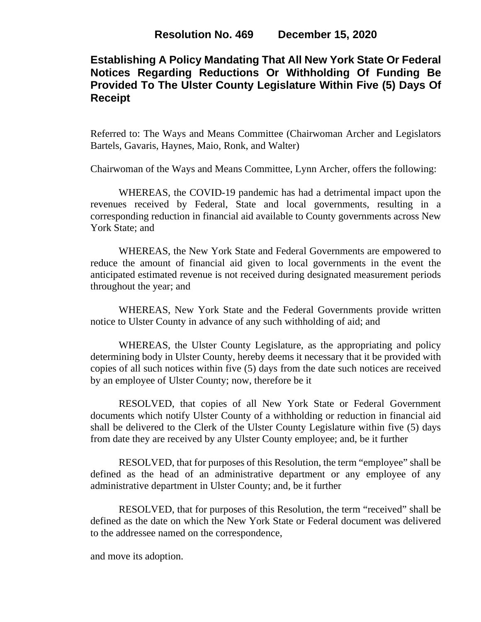## **Establishing A Policy Mandating That All New York State Or Federal Notices Regarding Reductions Or Withholding Of Funding Be Provided To The Ulster County Legislature Within Five (5) Days Of Receipt**

Referred to: The Ways and Means Committee (Chairwoman Archer and Legislators Bartels, Gavaris, Haynes, Maio, Ronk, and Walter)

Chairwoman of the Ways and Means Committee, Lynn Archer, offers the following:

WHEREAS, the COVID-19 pandemic has had a detrimental impact upon the revenues received by Federal, State and local governments, resulting in a corresponding reduction in financial aid available to County governments across New York State; and

WHEREAS, the New York State and Federal Governments are empowered to reduce the amount of financial aid given to local governments in the event the anticipated estimated revenue is not received during designated measurement periods throughout the year; and

WHEREAS, New York State and the Federal Governments provide written notice to Ulster County in advance of any such withholding of aid; and

WHEREAS, the Ulster County Legislature, as the appropriating and policy determining body in Ulster County, hereby deems it necessary that it be provided with copies of all such notices within five (5) days from the date such notices are received by an employee of Ulster County; now, therefore be it

RESOLVED, that copies of all New York State or Federal Government documents which notify Ulster County of a withholding or reduction in financial aid shall be delivered to the Clerk of the Ulster County Legislature within five (5) days from date they are received by any Ulster County employee; and, be it further

RESOLVED, that for purposes of this Resolution, the term "employee" shall be defined as the head of an administrative department or any employee of any administrative department in Ulster County; and, be it further

RESOLVED, that for purposes of this Resolution, the term "received" shall be defined as the date on which the New York State or Federal document was delivered to the addressee named on the correspondence,

and move its adoption.